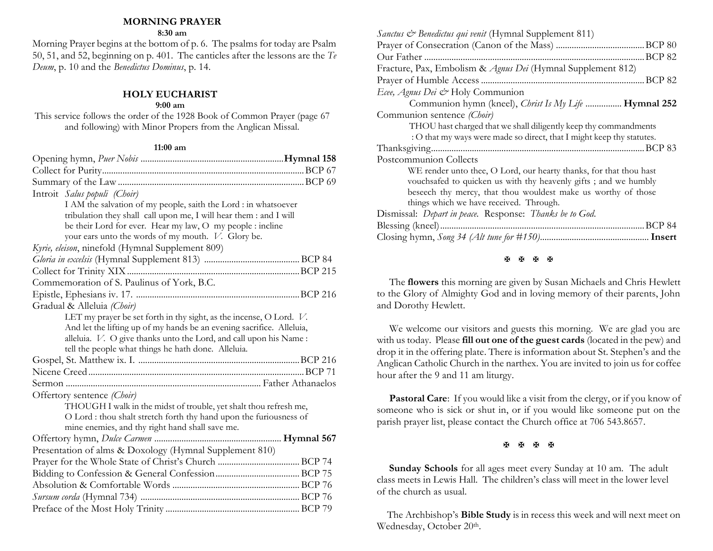### **MORNING PRAYER**

### **8:30 am**

Morning Prayer begins at the bottom of p. 6. The psalms for today are Psalm 50, 51, and 52, beginning on p. 401. The canticles after the lessons are the *Te Deum*, p. 10 and the *Benedictus Dominus*, p. 14.

## **HOLY EUCHARIST**

### **9:00 am**

This service follows the order of the 1928 Book of Common Prayer (page 67 and following) with Minor Propers from the Anglican Missal.

### **11:00 am**

| Introit Salus populi (Choir)                                          |  |
|-----------------------------------------------------------------------|--|
| I AM the salvation of my people, saith the Lord : in whatsoever       |  |
| tribulation they shall call upon me, I will hear them : and I will    |  |
| be their Lord for ever. Hear my law, O my people : incline            |  |
| your ears unto the words of my mouth. V. Glory be.                    |  |
| Kyrie, eleison, ninefold (Hymnal Supplement 809)                      |  |
|                                                                       |  |
|                                                                       |  |
| Commemoration of S. Paulinus of York, B.C.                            |  |
|                                                                       |  |
| Gradual & Alleluia (Choir)                                            |  |
| LET my prayer be set forth in thy sight, as the incense, O Lord. V.   |  |
| And let the lifting up of my hands be an evening sacrifice. Alleluia, |  |
| alleluia. V. O give thanks unto the Lord, and call upon his Name :    |  |
| tell the people what things he hath done. Alleluia.                   |  |
|                                                                       |  |
|                                                                       |  |
|                                                                       |  |
| Offertory sentence (Choir)                                            |  |
| THOUGH I walk in the midst of trouble, yet shalt thou refresh me,     |  |
| O Lord : thou shalt stretch forth thy hand upon the furiousness of    |  |
| mine enemies, and thy right hand shall save me.                       |  |
|                                                                       |  |
| Presentation of alms & Doxology (Hymnal Supplement 810)               |  |
|                                                                       |  |
|                                                                       |  |
|                                                                       |  |
|                                                                       |  |
|                                                                       |  |

| Sanctus & Benedictus qui venit (Hymnal Supplement 811)                  |
|-------------------------------------------------------------------------|
|                                                                         |
|                                                                         |
| Fracture, Pax, Embolism & Agnus Dei (Hymnal Supplement 812)             |
|                                                                         |
| Ecee, Agnus Dei & Holy Communion                                        |
| Communion hymn (kneel), <i>Christ Is My Life </i> <b>Hymnal 252</b>     |
| Communion sentence (Choir)                                              |
| THOU hast charged that we shall diligently keep thy commandments        |
| : O that my ways were made so direct, that I might keep thy statutes.   |
|                                                                         |
| Postcommunion Collects                                                  |
| WE render unto thee, O Lord, our hearty thanks, for that thou hast      |
| vouchsafed to quicken us with thy heavenly gifts; and we humbly         |
| beseech thy mercy, that thou wouldest make us worthy of those           |
| things which we have received. Through.                                 |
| Dismissal: <i>Depart in peace</i> . Response: <i>Thanks be to God</i> . |
|                                                                         |
|                                                                         |
|                                                                         |

#### **H H H H**

The **flowers** this morning are given by Susan Michaels and Chris Hewlett to the Glory of Almighty God and in loving memory of their parents, John and Dorothy Hewlett.

We welcome our visitors and guests this morning. We are glad you are with us today. Please **fill out one of the guest cards** (located in the pew) and drop it in the offering plate. There is information about St. Stephen's and the Anglican Catholic Church in the narthex. You are invited to join us for coffee hour after the 9 and 11 am liturgy.

Pastoral Care: If you would like a visit from the clergy, or if you know of someone who is sick or shut in, or if you would like someone put on the parish prayer list, please contact the Church office at 706 543.8657.

### 医困困困

**Sunday Schools** for all ages meet every Sunday at 10 am. The adult class meets in Lewis Hall. The children's class will meet in the lower level of the church as usual.

 The Archbishop's **Bible Study** is in recess this week and will next meet on Wednesday, October 20th.